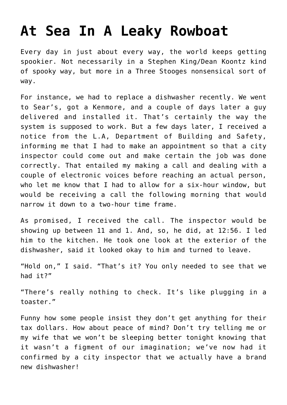## **[At Sea In A Leaky Rowboat](https://bernardgoldberg.com/at-sea-in-a-leaky-rowboat/)**

Every day in just about every way, the world keeps getting spookier. Not necessarily in a Stephen King/Dean Koontz kind of spooky way, but more in a Three Stooges nonsensical sort of way.

For instance, we had to replace a dishwasher recently. We went to Sear's, got a Kenmore, and a couple of days later a guy delivered and installed it. That's certainly the way the system is supposed to work. But a few days later, I received a notice from the L.A, Department of Building and Safety, informing me that I had to make an appointment so that a city inspector could come out and make certain the job was done correctly. That entailed my making a call and dealing with a couple of electronic voices before reaching an actual person, who let me know that I had to allow for a six-hour window, but would be receiving a call the following morning that would narrow it down to a two-hour time frame.

As promised, I received the call. The inspector would be showing up between 11 and 1. And, so, he did, at 12:56. I led him to the kitchen. He took one look at the exterior of the dishwasher, said it looked okay to him and turned to leave.

"Hold on," I said. "That's it? You only needed to see that we had it?"

"There's really nothing to check. It's like plugging in a toaster."

Funny how some people insist they don't get anything for their tax dollars. How about peace of mind? Don't try telling me or my wife that we won't be sleeping better tonight knowing that it wasn't a figment of our imagination; we've now had it confirmed by a city inspector that we actually have a brand new dishwasher!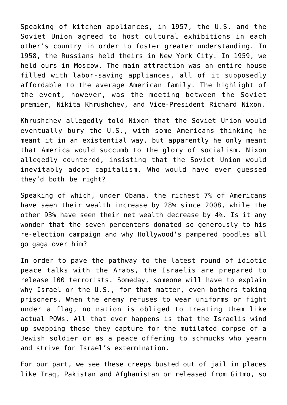Speaking of kitchen appliances, in 1957, the U.S. and the Soviet Union agreed to host cultural exhibitions in each other's country in order to foster greater understanding. In 1958, the Russians held theirs in New York City. In 1959, we held ours in Moscow. The main attraction was an entire house filled with labor-saving appliances, all of it supposedly affordable to the average American family. The highlight of the event, however, was the meeting between the Soviet premier, Nikita Khrushchev, and Vice-President Richard Nixon.

Khrushchev allegedly told Nixon that the Soviet Union would eventually bury the U.S., with some Americans thinking he meant it in an existential way, but apparently he only meant that America would succumb to the glory of socialism. Nixon allegedly countered, insisting that the Soviet Union would inevitably adopt capitalism. Who would have ever guessed they'd both be right?

Speaking of which, under Obama, the richest 7% of Americans have seen their wealth increase by 28% since 2008, while the other 93% have seen their net wealth decrease by 4%. Is it any wonder that the seven percenters donated so generously to his re-election campaign and why Hollywood's pampered poodles all go gaga over him?

In order to pave the pathway to the latest round of idiotic peace talks with the Arabs, the Israelis are prepared to release 100 terrorists. Someday, someone will have to explain why Israel or the U.S., for that matter, even bothers taking prisoners. When the enemy refuses to wear uniforms or fight under a flag, no nation is obliged to treating them like actual POWs. All that ever happens is that the Israelis wind up swapping those they capture for the mutilated corpse of a Jewish soldier or as a peace offering to schmucks who yearn and strive for Israel's extermination.

For our part, we see these creeps busted out of jail in places like Iraq, Pakistan and Afghanistan or released from Gitmo, so